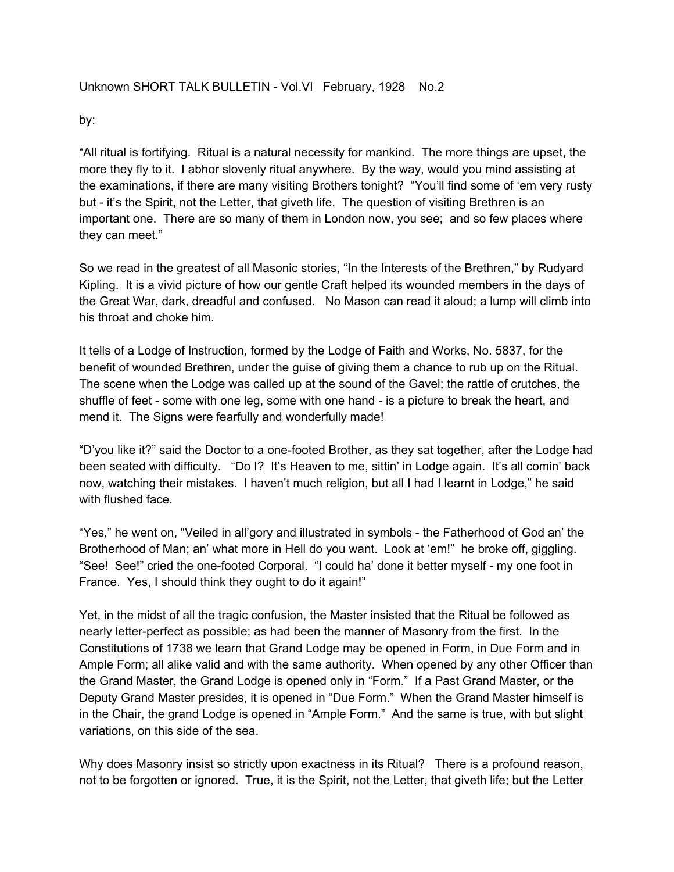## Unknown SHORT TALK BULLETIN - Vol.VI February, 1928 No.2

by:

"All ritual is fortifying. Ritual is a natural necessity for mankind. The more things are upset, the more they fly to it. I abhor slovenly ritual anywhere. By the way, would you mind assisting at the examinations, if there are many visiting Brothers tonight? "You'll find some of 'em very rusty but - it's the Spirit, not the Letter, that giveth life. The question of visiting Brethren is an important one. There are so many of them in London now, you see; and so few places where they can meet."

So we read in the greatest of all Masonic stories, "In the Interests of the Brethren," by Rudyard Kipling. It is a vivid picture of how our gentle Craft helped its wounded members in the days of the Great War, dark, dreadful and confused. No Mason can read it aloud; a lump will climb into his throat and choke him.

It tells of a Lodge of Instruction, formed by the Lodge of Faith and Works, No. 5837, for the benefit of wounded Brethren, under the guise of giving them a chance to rub up on the Ritual. The scene when the Lodge was called up at the sound of the Gavel; the rattle of crutches, the shuffle of feet - some with one leg, some with one hand - is a picture to break the heart, and mend it. The Signs were fearfully and wonderfully made!

"D'you like it?" said the Doctor to a one-footed Brother, as they sat together, after the Lodge had been seated with difficulty. "Do I? It's Heaven to me, sittin' in Lodge again. It's all comin' back now, watching their mistakes. I haven't much religion, but all I had I learnt in Lodge," he said with flushed face.

"Yes," he went on, "Veiled in all'gory and illustrated in symbols - the Fatherhood of God an' the Brotherhood of Man; an' what more in Hell do you want. Look at 'em!" he broke off, giggling. "See! See!" cried the one-footed Corporal. "I could ha' done it better myself - my one foot in France. Yes, I should think they ought to do it again!"

Yet, in the midst of all the tragic confusion, the Master insisted that the Ritual be followed as nearly letter-perfect as possible; as had been the manner of Masonry from the first. In the Constitutions of 1738 we learn that Grand Lodge may be opened in Form, in Due Form and in Ample Form; all alike valid and with the same authority. When opened by any other Officer than the Grand Master, the Grand Lodge is opened only in "Form." If a Past Grand Master, or the Deputy Grand Master presides, it is opened in "Due Form." When the Grand Master himself is in the Chair, the grand Lodge is opened in "Ample Form." And the same is true, with but slight variations, on this side of the sea.

Why does Masonry insist so strictly upon exactness in its Ritual? There is a profound reason, not to be forgotten or ignored. True, it is the Spirit, not the Letter, that giveth life; but the Letter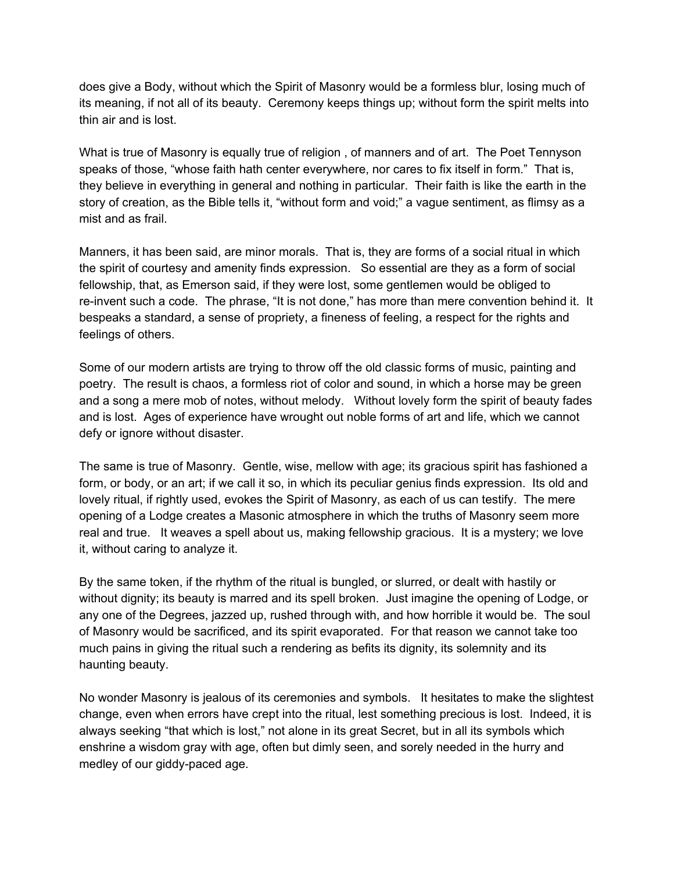does give a Body, without which the Spirit of Masonry would be a formless blur, losing much of its meaning, if not all of its beauty. Ceremony keeps things up; without form the spirit melts into thin air and is lost.

What is true of Masonry is equally true of religion , of manners and of art. The Poet Tennyson speaks of those, "whose faith hath center everywhere, nor cares to fix itself in form." That is, they believe in everything in general and nothing in particular. Their faith is like the earth in the story of creation, as the Bible tells it, "without form and void;" a vague sentiment, as flimsy as a mist and as frail.

Manners, it has been said, are minor morals. That is, they are forms of a social ritual in which the spirit of courtesy and amenity finds expression. So essential are they as a form of social fellowship, that, as Emerson said, if they were lost, some gentlemen would be obliged to re-invent such a code. The phrase, "It is not done," has more than mere convention behind it. It bespeaks a standard, a sense of propriety, a fineness of feeling, a respect for the rights and feelings of others.

Some of our modern artists are trying to throw off the old classic forms of music, painting and poetry. The result is chaos, a formless riot of color and sound, in which a horse may be green and a song a mere mob of notes, without melody. Without lovely form the spirit of beauty fades and is lost. Ages of experience have wrought out noble forms of art and life, which we cannot defy or ignore without disaster.

The same is true of Masonry. Gentle, wise, mellow with age; its gracious spirit has fashioned a form, or body, or an art; if we call it so, in which its peculiar genius finds expression. Its old and lovely ritual, if rightly used, evokes the Spirit of Masonry, as each of us can testify. The mere opening of a Lodge creates a Masonic atmosphere in which the truths of Masonry seem more real and true. It weaves a spell about us, making fellowship gracious. It is a mystery; we love it, without caring to analyze it.

By the same token, if the rhythm of the ritual is bungled, or slurred, or dealt with hastily or without dignity; its beauty is marred and its spell broken. Just imagine the opening of Lodge, or any one of the Degrees, jazzed up, rushed through with, and how horrible it would be. The soul of Masonry would be sacrificed, and its spirit evaporated. For that reason we cannot take too much pains in giving the ritual such a rendering as befits its dignity, its solemnity and its haunting beauty.

No wonder Masonry is jealous of its ceremonies and symbols. It hesitates to make the slightest change, even when errors have crept into the ritual, lest something precious is lost. Indeed, it is always seeking "that which is lost," not alone in its great Secret, but in all its symbols which enshrine a wisdom gray with age, often but dimly seen, and sorely needed in the hurry and medley of our giddy-paced age.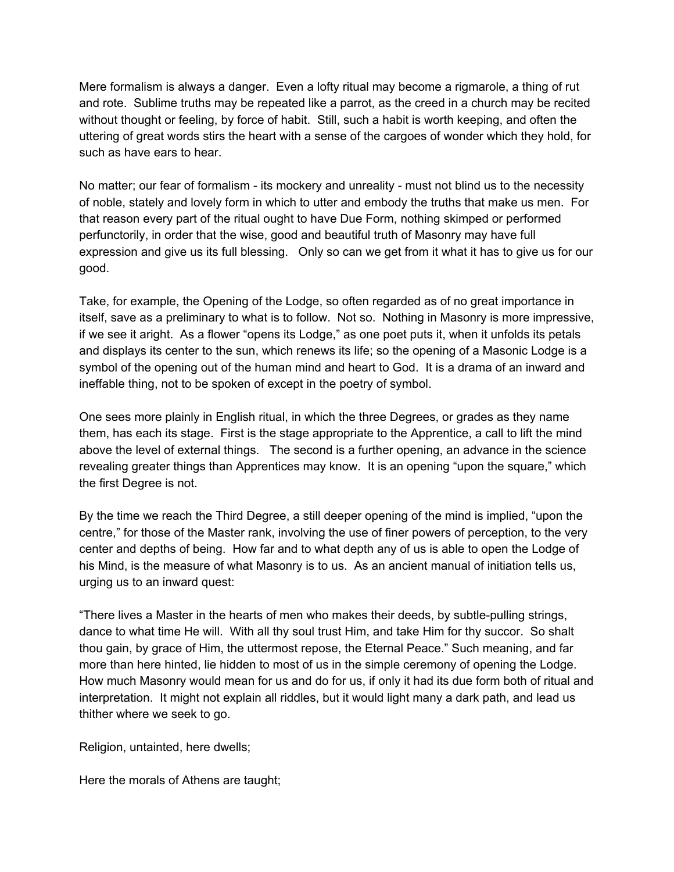Mere formalism is always a danger. Even a lofty ritual may become a rigmarole, a thing of rut and rote. Sublime truths may be repeated like a parrot, as the creed in a church may be recited without thought or feeling, by force of habit. Still, such a habit is worth keeping, and often the uttering of great words stirs the heart with a sense of the cargoes of wonder which they hold, for such as have ears to hear.

No matter; our fear of formalism - its mockery and unreality - must not blind us to the necessity of noble, stately and lovely form in which to utter and embody the truths that make us men. For that reason every part of the ritual ought to have Due Form, nothing skimped or performed perfunctorily, in order that the wise, good and beautiful truth of Masonry may have full expression and give us its full blessing. Only so can we get from it what it has to give us for our good.

Take, for example, the Opening of the Lodge, so often regarded as of no great importance in itself, save as a preliminary to what is to follow. Not so. Nothing in Masonry is more impressive, if we see it aright. As a flower "opens its Lodge," as one poet puts it, when it unfolds its petals and displays its center to the sun, which renews its life; so the opening of a Masonic Lodge is a symbol of the opening out of the human mind and heart to God. It is a drama of an inward and ineffable thing, not to be spoken of except in the poetry of symbol.

One sees more plainly in English ritual, in which the three Degrees, or grades as they name them, has each its stage. First is the stage appropriate to the Apprentice, a call to lift the mind above the level of external things. The second is a further opening, an advance in the science revealing greater things than Apprentices may know. It is an opening "upon the square," which the first Degree is not.

By the time we reach the Third Degree, a still deeper opening of the mind is implied, "upon the centre," for those of the Master rank, involving the use of finer powers of perception, to the very center and depths of being. How far and to what depth any of us is able to open the Lodge of his Mind, is the measure of what Masonry is to us. As an ancient manual of initiation tells us, urging us to an inward quest:

"There lives a Master in the hearts of men who makes their deeds, by subtle-pulling strings, dance to what time He will. With all thy soul trust Him, and take Him for thy succor. So shalt thou gain, by grace of Him, the uttermost repose, the Eternal Peace." Such meaning, and far more than here hinted, lie hidden to most of us in the simple ceremony of opening the Lodge. How much Masonry would mean for us and do for us, if only it had its due form both of ritual and interpretation. It might not explain all riddles, but it would light many a dark path, and lead us thither where we seek to go.

Religion, untainted, here dwells;

Here the morals of Athens are taught;